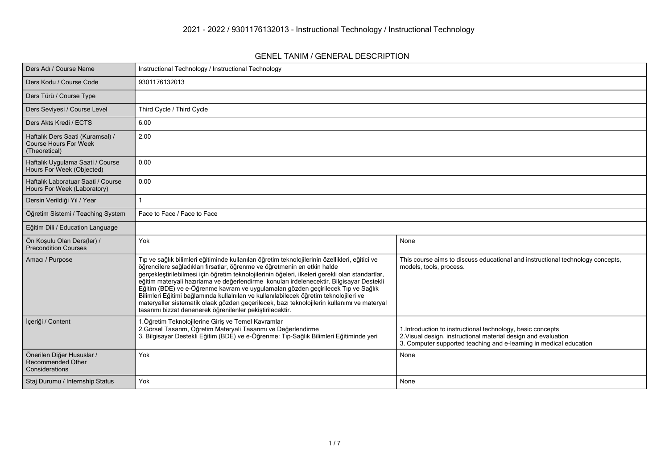#### **GENEL TANIM / GENERAL DESCRIPTION**

| Ders Adı / Course Name                                                            | Instructional Technology / Instructional Technology                                                                                                                                                                                                                                                                                                                                                                                                                                                                                                                                                                                                                                                                 |                                                                                                                                                                                                     |
|-----------------------------------------------------------------------------------|---------------------------------------------------------------------------------------------------------------------------------------------------------------------------------------------------------------------------------------------------------------------------------------------------------------------------------------------------------------------------------------------------------------------------------------------------------------------------------------------------------------------------------------------------------------------------------------------------------------------------------------------------------------------------------------------------------------------|-----------------------------------------------------------------------------------------------------------------------------------------------------------------------------------------------------|
| Ders Kodu / Course Code                                                           | 9301176132013                                                                                                                                                                                                                                                                                                                                                                                                                                                                                                                                                                                                                                                                                                       |                                                                                                                                                                                                     |
| Ders Türü / Course Type                                                           |                                                                                                                                                                                                                                                                                                                                                                                                                                                                                                                                                                                                                                                                                                                     |                                                                                                                                                                                                     |
| Ders Seviyesi / Course Level                                                      | Third Cycle / Third Cycle                                                                                                                                                                                                                                                                                                                                                                                                                                                                                                                                                                                                                                                                                           |                                                                                                                                                                                                     |
| Ders Akts Kredi / ECTS                                                            | 6.00                                                                                                                                                                                                                                                                                                                                                                                                                                                                                                                                                                                                                                                                                                                |                                                                                                                                                                                                     |
| Haftalık Ders Saati (Kuramsal) /<br><b>Course Hours For Week</b><br>(Theoretical) | 2.00                                                                                                                                                                                                                                                                                                                                                                                                                                                                                                                                                                                                                                                                                                                |                                                                                                                                                                                                     |
| Haftalık Uygulama Saati / Course<br>Hours For Week (Objected)                     | 0.00                                                                                                                                                                                                                                                                                                                                                                                                                                                                                                                                                                                                                                                                                                                |                                                                                                                                                                                                     |
| Haftalık Laboratuar Saati / Course<br>Hours For Week (Laboratory)                 | 0.00                                                                                                                                                                                                                                                                                                                                                                                                                                                                                                                                                                                                                                                                                                                |                                                                                                                                                                                                     |
| Dersin Verildiği Yıl / Year                                                       |                                                                                                                                                                                                                                                                                                                                                                                                                                                                                                                                                                                                                                                                                                                     |                                                                                                                                                                                                     |
| Öğretim Sistemi / Teaching System                                                 | Face to Face / Face to Face                                                                                                                                                                                                                                                                                                                                                                                                                                                                                                                                                                                                                                                                                         |                                                                                                                                                                                                     |
| Eğitim Dili / Education Language                                                  |                                                                                                                                                                                                                                                                                                                                                                                                                                                                                                                                                                                                                                                                                                                     |                                                                                                                                                                                                     |
| Ön Koşulu Olan Ders(ler) /<br><b>Precondition Courses</b>                         | Yok                                                                                                                                                                                                                                                                                                                                                                                                                                                                                                                                                                                                                                                                                                                 | None                                                                                                                                                                                                |
| Amacı / Purpose                                                                   | Tıp ve sağlık bilimleri eğitiminde kullanılan öğretim teknolojilerinin özellikleri, eğitici ve<br>öğrencilere sağladıkları fırsatlar, öğrenme ve öğretmenin en etkin halde<br>gerçekleştirilebilmesi için öğretim teknolojilerinin öğeleri, ilkeleri gerekli olan standartlar,<br>eğitim materyali hazırlama ve değerlendirme konuları irdelenecektir. Bilgisayar Destekli<br>Eğitim (BDE) ve e-Öğrenme kavram ve uygulamaları gözden geçirilecek Tıp ve Sağlık<br>Bilimleri Eğitimi bağlamında kullalnılan ve kullanılabilecek öğretim teknolojileri ve<br>materyaller sistematik olaak gözden geçerilecek, bazı teknolojilerin kullanımı ve materyal<br>tasarımı bizzat denenerek öğrenilenler pekiştirilecektir. | This course aims to discuss educational and instructional technology concepts,<br>models, tools, process.                                                                                           |
| İçeriği / Content                                                                 | 1. Öğretim Teknolojilerine Giriş ve Temel Kavramlar<br>2. Görsel Tasarım, Öğretim Materyali Tasarımı ve Değerlendirme<br>3. Bilgisayar Destekli Eğitim (BDE) ve e-Öğrenme: Tıp-Sağlık Bilimleri Eğitiminde yeri                                                                                                                                                                                                                                                                                                                                                                                                                                                                                                     | 1. Introduction to instructional technology, basic concepts<br>2. Visual design, instructional material design and evaluation<br>3. Computer supported teaching and e-learning in medical education |
| Önerilen Diğer Hususlar /<br>Recommended Other<br>Considerations                  | Yok                                                                                                                                                                                                                                                                                                                                                                                                                                                                                                                                                                                                                                                                                                                 | None                                                                                                                                                                                                |
| Staj Durumu / Internship Status                                                   | Yok                                                                                                                                                                                                                                                                                                                                                                                                                                                                                                                                                                                                                                                                                                                 | None                                                                                                                                                                                                |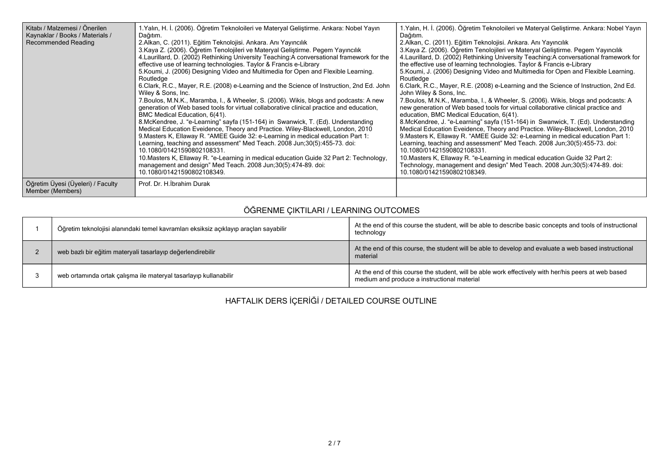| Kitabı / Malzemesi / Önerilen<br>Kaynaklar / Books / Materials /<br>Recommended Reading | 1.Yalın, H. İ. (2006). Öğretim Teknoloileri ve Materyal Geliştirme. Ankara: Nobel Yayın<br>Dağıtım.<br>2. Alkan, C. (2011). Eğitim Teknolojisi. Ankara. Anı Yayıncılık<br>3. Kaya Z. (2006). Öğretim Tenolojileri ve Materyal Geliştirme. Pegem Yayıncılık<br>4. Laurillard, D. (2002) Rethinking University Teaching: A conversational framework for the<br>effective use of learning technologies. Taylor & Francis e-Library<br>5. Koumi, J. (2006) Designing Video and Multimedia for Open and Flexible Learning.<br>Routledge<br>6.Clark, R.C., Mayer, R.E. (2008) e-Learning and the Science of Instruction, 2nd Ed. John<br>Wiley & Sons, Inc.<br>7. Boulos, M.N.K., Maramba, I., & Wheeler, S. (2006). Wikis, blogs and podcasts: A new<br>generation of Web based tools for virtual collaborative clinical practice and education,<br>BMC Medical Education, 6(41).<br>8. McKendree, J. "e-Learning" sayfa (151-164) in Swanwick, T. (Ed). Understanding<br>Medical Education Eveidence, Theory and Practice. Wiley-Blackwell, London, 2010<br>9. Masters K, Ellaway R. "AMEE Guide 32: e-Learning in medical education Part 1:<br>Learning, teaching and assessment" Med Teach. 2008 Jun;30(5):455-73. doi:<br>10.1080/01421590802108331.<br>10. Masters K, Ellaway R. "e-Learning in medical education Guide 32 Part 2: Technology,<br>management and design" Med Teach. 2008 Jun; 30(5): 474-89. doi:<br>10.1080/01421590802108349. | 1. Yalın, H. İ. (2006). Öğretim Teknoloileri ve Materyal Geliştirme. Ankara: Nobel Yayın<br>Dağıtım.<br>2. Alkan, C. (2011). Eğitim Teknolojisi. Ankara. Anı Yayıncılık<br>3. Kaya Z. (2006). Öğretim Tenolojileri ve Materyal Geliştirme. Pegem Yayıncılık<br>4. Laurillard, D. (2002) Rethinking University Teaching:A conversational framework for<br>the effective use of learning technologies. Taylor & Francis e-Library<br>5. Koumi, J. (2006) Designing Video and Multimedia for Open and Flexible Learning.<br>Routledge<br>6. Clark, R.C., Mayer, R.E. (2008) e-Learning and the Science of Instruction, 2nd Ed.<br>John Wiley & Sons, Inc.<br>7. Boulos, M.N.K., Maramba, I., & Wheeler, S. (2006). Wikis, blogs and podcasts: A<br>new generation of Web based tools for virtual collaborative clinical practice and<br>education, BMC Medical Education, 6(41).<br>8. McKendree, J. "e-Learning" sayfa (151-164) in Swanwick, T. (Ed). Understanding<br>Medical Education Eveidence, Theory and Practice. Wiley-Blackwell, London, 2010<br>9. Masters K, Ellaway R. "AMEE Guide 32: e-Learning in medical education Part 1:<br>Learning, teaching and assessment" Med Teach. 2008 Jun; 30(5): 455-73. doi:<br>10.1080/01421590802108331.<br>10. Masters K, Ellaway R. "e-Learning in medical education Guide 32 Part 2:<br>Technology, management and design" Med Teach. 2008 Jun;30(5):474-89. doi:<br>10.1080/01421590802108349. |
|-----------------------------------------------------------------------------------------|-------------------------------------------------------------------------------------------------------------------------------------------------------------------------------------------------------------------------------------------------------------------------------------------------------------------------------------------------------------------------------------------------------------------------------------------------------------------------------------------------------------------------------------------------------------------------------------------------------------------------------------------------------------------------------------------------------------------------------------------------------------------------------------------------------------------------------------------------------------------------------------------------------------------------------------------------------------------------------------------------------------------------------------------------------------------------------------------------------------------------------------------------------------------------------------------------------------------------------------------------------------------------------------------------------------------------------------------------------------------------------------------------------------------------------------------------|--------------------------------------------------------------------------------------------------------------------------------------------------------------------------------------------------------------------------------------------------------------------------------------------------------------------------------------------------------------------------------------------------------------------------------------------------------------------------------------------------------------------------------------------------------------------------------------------------------------------------------------------------------------------------------------------------------------------------------------------------------------------------------------------------------------------------------------------------------------------------------------------------------------------------------------------------------------------------------------------------------------------------------------------------------------------------------------------------------------------------------------------------------------------------------------------------------------------------------------------------------------------------------------------------------------------------------------------------------------------------------------------------------------------------------------------------|
| Öğretim Üyesi (Üyeleri) / Faculty<br>Member (Members)                                   | Prof. Dr. H. İbrahim Durak                                                                                                                                                                                                                                                                                                                                                                                                                                                                                                                                                                                                                                                                                                                                                                                                                                                                                                                                                                                                                                                                                                                                                                                                                                                                                                                                                                                                                      |                                                                                                                                                                                                                                                                                                                                                                                                                                                                                                                                                                                                                                                                                                                                                                                                                                                                                                                                                                                                                                                                                                                                                                                                                                                                                                                                                                                                                                                  |

# **ÖĞRENME ÇIKTILARI / LEARNING OUTCOMES**

| Öğretim teknolojisi alanındaki temel kavramları eksiksiz açıklayıp araçları sayabilir | At the end of this course the student, will be able to describe basic concepts and tools of instructional<br>technology                             |
|---------------------------------------------------------------------------------------|-----------------------------------------------------------------------------------------------------------------------------------------------------|
| web bazlı bir eğitim materyali tasarlayıp değerlendirebilir                           | At the end of this course, the student will be able to develop and evaluate a web based instructional<br>material                                   |
| web ortamında ortak çalışma ile materyal tasarlayıp kullanabilir                      | At the end of this course the student, will be able work effectively with her/his peers at web based<br>medium and produce a instructional material |

**HAFTALIK DERS İÇERİĞİ / DETAILED COURSE OUTLINE**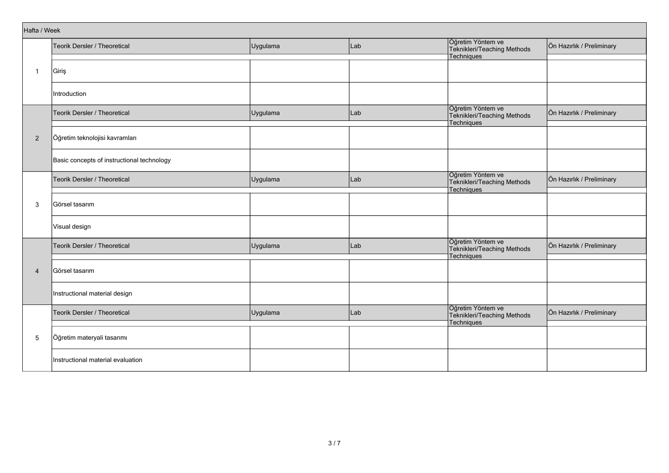| Hafta / Week   |                                            |          |     |                                                                       |                           |
|----------------|--------------------------------------------|----------|-----|-----------------------------------------------------------------------|---------------------------|
|                | Teorik Dersler / Theoretical               | Uygulama | Lab | Öğretim Yöntem ve<br>Teknikleri/Teaching Methods<br><b>Techniques</b> | Ön Hazırlık / Preliminary |
| $\overline{1}$ | Giriş                                      |          |     |                                                                       |                           |
|                | Introduction                               |          |     |                                                                       |                           |
|                | Teorik Dersler / Theoretical               | Uygulama | Lab | Öğretim Yöntem ve<br>Teknikleri/Teaching Methods<br>Techniques        | Ön Hazırlık / Preliminary |
| $\overline{2}$ | Öğretim teknolojisi kavramları             |          |     |                                                                       |                           |
|                | Basic concepts of instructional technology |          |     |                                                                       |                           |
|                | Teorik Dersler / Theoretical               | Uygulama | Lab | Öğretim Yöntem ve<br>Teknikleri/Teaching Methods<br>Techniques        | Ön Hazırlık / Preliminary |
| 3              | Görsel tasarım                             |          |     |                                                                       |                           |
|                | Visual design                              |          |     |                                                                       |                           |
|                | Teorik Dersler / Theoretical               | Uygulama | Lab | Öğretim Yöntem ve<br>Teknikleri/Teaching Methods<br>Techniques        | Ön Hazırlık / Preliminary |
| $\overline{4}$ | Görsel tasarım                             |          |     |                                                                       |                           |
|                | Instructional material design              |          |     |                                                                       |                           |
|                | Teorik Dersler / Theoretical               | Uygulama | Lab | Öğretim Yöntem ve<br>Teknikleri/Teaching Methods<br>Techniques        | Ön Hazırlık / Preliminary |
| 5              | Öğretim materyali tasarımı                 |          |     |                                                                       |                           |
|                | Instructional material evaluation          |          |     |                                                                       |                           |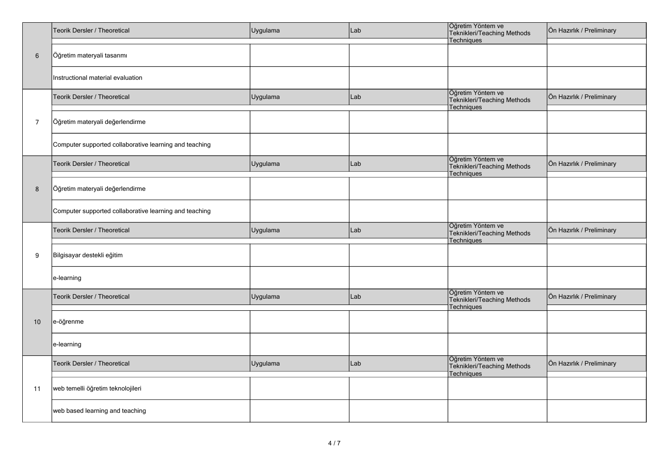|                 | Teorik Dersler / Theoretical                           | Uygulama | Lab | Öğretim Yöntem ve<br>Teknikleri/Teaching Methods<br>Techniques | Ön Hazırlık / Preliminary |
|-----------------|--------------------------------------------------------|----------|-----|----------------------------------------------------------------|---------------------------|
| $6\phantom{.}6$ | Öğretim materyali tasarımı                             |          |     |                                                                |                           |
|                 | Instructional material evaluation                      |          |     |                                                                |                           |
|                 | Teorik Dersler / Theoretical                           | Uygulama | Lab | Öğretim Yöntem ve<br>Teknikleri/Teaching Methods<br>Techniques | Ön Hazırlık / Preliminary |
| $\overline{7}$  | Öğretim materyali değerlendirme                        |          |     |                                                                |                           |
|                 | Computer supported collaborative learning and teaching |          |     |                                                                |                           |
|                 | Teorik Dersler / Theoretical                           | Uygulama | Lab | Öğretim Yöntem ve<br>Teknikleri/Teaching Methods<br>Techniques | Ön Hazırlık / Preliminary |
| 8               | Öğretim materyali değerlendirme                        |          |     |                                                                |                           |
|                 | Computer supported collaborative learning and teaching |          |     |                                                                |                           |
|                 | Teorik Dersler / Theoretical                           | Uygulama | Lab | Öğretim Yöntem ve<br>Teknikleri/Teaching Methods<br>Techniques | Ön Hazırlık / Preliminary |
| 9               | Bilgisayar destekli eğitim                             |          |     |                                                                |                           |
|                 | e-learning                                             |          |     |                                                                |                           |
|                 | Teorik Dersler / Theoretical                           | Uygulama | Lab | Öğretim Yöntem ve<br>Teknikleri/Teaching Methods<br>Techniques | Ön Hazırlık / Preliminary |
| 10              | e-öğrenme                                              |          |     |                                                                |                           |
|                 | e-learning                                             |          |     |                                                                |                           |
|                 | Teorik Dersler / Theoretical                           | Uygulama | Lab | Öğretim Yöntem ve<br>Teknikleri/Teaching Methods<br>Techniques | Ön Hazırlık / Preliminary |
| 11              | web temelli öğretim teknolojileri                      |          |     |                                                                |                           |
|                 | web based learning and teaching                        |          |     |                                                                |                           |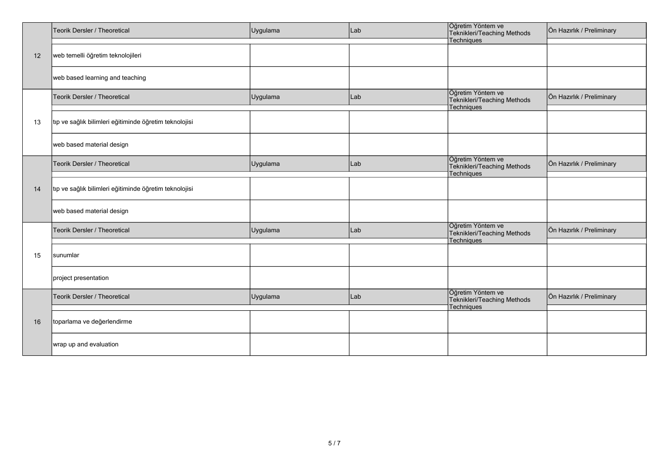|    | Teorik Dersler / Theoretical                           | Uygulama | Lab | Öğretim Yöntem ve<br>Teknikleri/Teaching Methods               | Ön Hazırlık / Preliminary |
|----|--------------------------------------------------------|----------|-----|----------------------------------------------------------------|---------------------------|
|    |                                                        |          |     | Techniques                                                     |                           |
| 12 | web temelli öğretim teknolojileri                      |          |     |                                                                |                           |
|    | web based learning and teaching                        |          |     |                                                                |                           |
|    | Teorik Dersler / Theoretical                           | Uygulama | Lab | Öğretim Yöntem ve<br>Teknikleri/Teaching Methods<br>Techniques | Ön Hazırlık / Preliminary |
|    |                                                        |          |     |                                                                |                           |
| 13 | tıp ve sağlık bilimleri eğitiminde öğretim teknolojisi |          |     |                                                                |                           |
|    | web based material design                              |          |     |                                                                |                           |
|    |                                                        |          |     | Öğretim Yöntem ve                                              |                           |
|    | Teorik Dersler / Theoretical                           | Uygulama | Lab | Teknikleri/Teaching Methods                                    | Ön Hazırlık / Preliminary |
|    |                                                        |          |     | <b>Techniques</b>                                              |                           |
|    |                                                        |          |     |                                                                |                           |
| 14 | tıp ve sağlık bilimleri eğitiminde öğretim teknolojisi |          |     |                                                                |                           |
|    |                                                        |          |     |                                                                |                           |
|    |                                                        |          |     |                                                                |                           |
|    | web based material design                              |          |     |                                                                |                           |
|    |                                                        |          |     | Öğretim Yöntem ve                                              |                           |
|    | Teorik Dersler / Theoretical                           | Uygulama | Lab | Teknikleri/Teaching Methods                                    | Ön Hazırlık / Preliminary |
|    |                                                        |          |     | Techniques                                                     |                           |
|    |                                                        |          |     |                                                                |                           |
| 15 | sunumlar                                               |          |     |                                                                |                           |
|    |                                                        |          |     |                                                                |                           |
|    |                                                        |          |     |                                                                |                           |
|    | project presentation                                   |          |     |                                                                |                           |
|    |                                                        |          |     | Öğretim Yöntem ve                                              |                           |
|    | Teorik Dersler / Theoretical                           | Uygulama | Lab | Teknikleri/Teaching Methods                                    | Ön Hazırlık / Preliminary |
|    |                                                        |          |     | Techniques                                                     |                           |
|    |                                                        |          |     |                                                                |                           |
| 16 | toparlama ve değerlendirme                             |          |     |                                                                |                           |
|    |                                                        |          |     |                                                                |                           |
|    | wrap up and evaluation                                 |          |     |                                                                |                           |
|    |                                                        |          |     |                                                                |                           |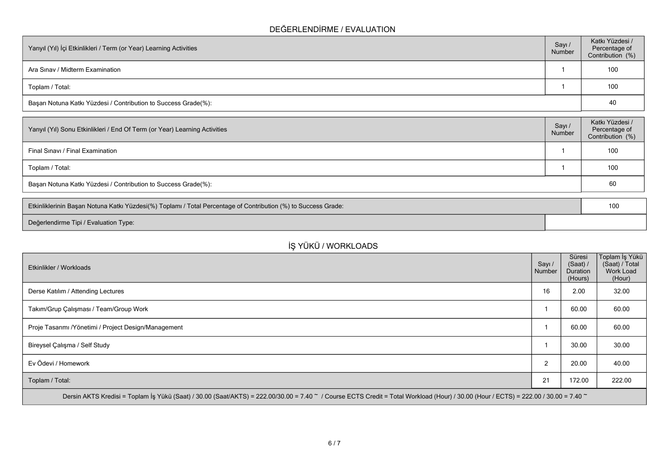### **DEĞERLENDİRME / EVALUATION**

| Yarıyıl (Yıl) İçi Etkinlikleri / Term (or Year) Learning Activities | Sayı /<br>Number | Katkı Yüzdesi /<br>Percentage of<br>Contribution (%) |
|---------------------------------------------------------------------|------------------|------------------------------------------------------|
| Ara Sinav / Midterm Examination                                     |                  | 100                                                  |
| Toplam / Total:                                                     |                  | 100                                                  |
| Başarı Notuna Katkı Yüzdesi / Contribution to Success Grade(%):     |                  | 40                                                   |

| Sayı/<br>Number | Katkı Yüzdesi /<br>Percentage of<br>Contribution (%) |
|-----------------|------------------------------------------------------|
|                 | 100                                                  |
|                 | 100                                                  |
|                 | 60                                                   |
|                 |                                                      |

| Etkinliklerinin Başarı Notuna Katkı Yüzdesi(%) Toplamı / Total Percentage of Contribution (%) to Success Grade: |  |  |
|-----------------------------------------------------------------------------------------------------------------|--|--|
| Değerlendirme Tipi / Evaluation Type:                                                                           |  |  |

# **İŞ YÜKÜ / WORKLOADS**

| Etkinlikler / Workloads                                                                                                                                                              | Sayı /<br>Number | Süresi<br>(Saat) /<br>Duration<br>(Hours) | Toplam İş Yükü<br>(Saat) / Total<br>Work Load<br>(Hour) |
|--------------------------------------------------------------------------------------------------------------------------------------------------------------------------------------|------------------|-------------------------------------------|---------------------------------------------------------|
| Derse Katılım / Attending Lectures                                                                                                                                                   | 16               | 2.00                                      | 32.00                                                   |
| Takım/Grup Çalışması / Team/Group Work                                                                                                                                               |                  | 60.00                                     | 60.00                                                   |
| Proje Tasarımı / Yönetimi / Project Design/Management                                                                                                                                |                  | 60.00                                     | 60.00                                                   |
| Bireysel Çalışma / Self Study                                                                                                                                                        |                  | 30.00                                     | 30.00                                                   |
| Ev Ödevi / Homework                                                                                                                                                                  | $\overline{2}$   | 20.00                                     | 40.00                                                   |
| Toplam / Total:                                                                                                                                                                      | 21               | 172.00                                    | 222.00                                                  |
| Dersin AKTS Kredisi = Toplam İş Yükü (Saat) / 30.00 (Saat/AKTS) = 222.00/30.00 = 7.40 ~ / Course ECTS Credit = Total Workload (Hour) / 30.00 (Hour / ECTS) = 222.00 / 30.00 = 7.40 ~ |                  |                                           |                                                         |